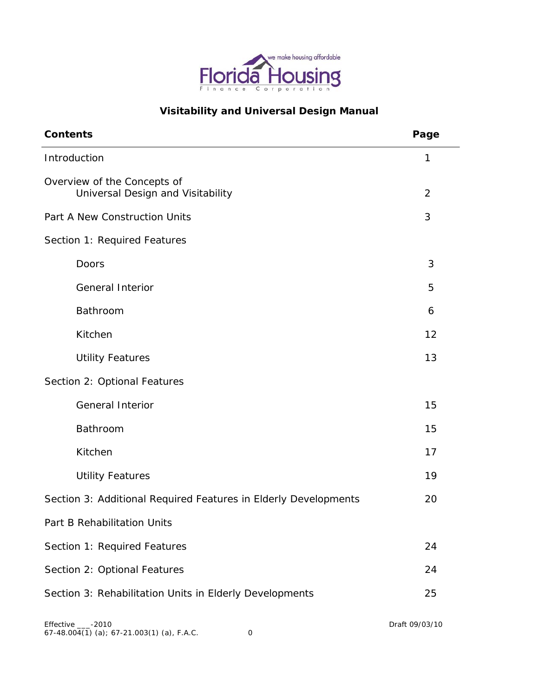

# **Visitability and Universal Design Manual**

| <b>Contents</b>                                                  | Page           |
|------------------------------------------------------------------|----------------|
| Introduction                                                     | 1              |
| Overview of the Concepts of<br>Universal Design and Visitability | $\overline{2}$ |
| Part A New Construction Units                                    | 3              |
| Section 1: Required Features                                     |                |
| Doors                                                            | 3              |
| <b>General Interior</b>                                          | 5              |
| Bathroom                                                         | 6              |
| Kitchen                                                          | 12             |
| <b>Utility Features</b>                                          | 13             |
| Section 2: Optional Features                                     |                |
| <b>General Interior</b>                                          | 15             |
| Bathroom                                                         | 15             |
| Kitchen                                                          | 17             |
| <b>Utility Features</b>                                          | 19             |
| Section 3: Additional Required Features in Elderly Developments  | 20             |
| Part B Rehabilitation Units                                      |                |
| Section 1: Required Features                                     | 24             |
| Section 2: Optional Features                                     | 24             |
| Section 3: Rehabilitation Units in Elderly Developments          | 25             |
|                                                                  |                |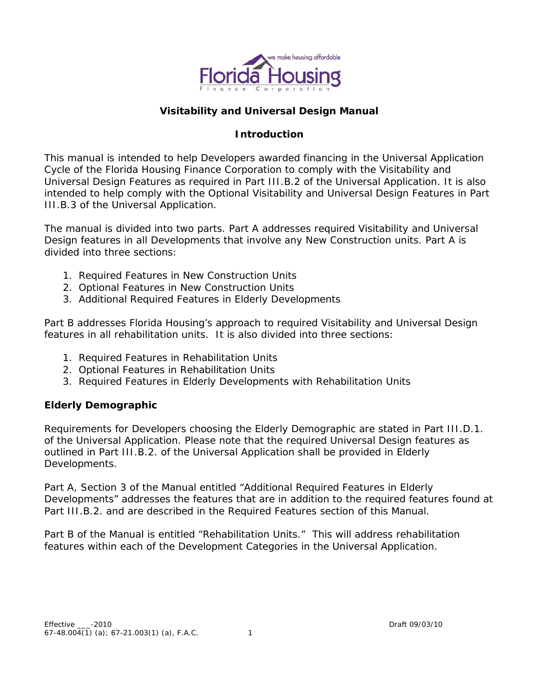

# **Visitability and Universal Design Manual**

# **Introduction**

This manual is intended to help Developers awarded financing in the Universal Application Cycle of the Florida Housing Finance Corporation to comply with the Visitability and Universal Design Features as required in Part III.B.2 of the Universal Application. It is also intended to help comply with the Optional Visitability and Universal Design Features in Part III.B.3 of the Universal Application.

The manual is divided into two parts. Part A addresses required Visitability and Universal Design features in all Developments that involve any New Construction units. Part A is divided into three sections:

- 1. Required Features in New Construction Units
- 2. Optional Features in New Construction Units
- 3. Additional Required Features in Elderly Developments

Part B addresses Florida Housing's approach to required Visitability and Universal Design features in all rehabilitation units. It is also divided into three sections:

- 1. Required Features in Rehabilitation Units
- 2. Optional Features in Rehabilitation Units
- 3. Required Features in Elderly Developments with Rehabilitation Units

# **Elderly Demographic**

Requirements for Developers choosing the Elderly Demographic are stated in Part III.D.1. of the Universal Application. Please note that the required Universal Design features as outlined in Part III.B.2. of the Universal Application shall be provided in Elderly Developments.

Part A, Section 3 of the Manual entitled "Additional Required Features in Elderly Developments" addresses the features that are in addition to the required features found at Part III.B.2. and are described in the Required Features section of this Manual.

Part B of the Manual is entitled "Rehabilitation Units." This will address rehabilitation features within each of the Development Categories in the Universal Application.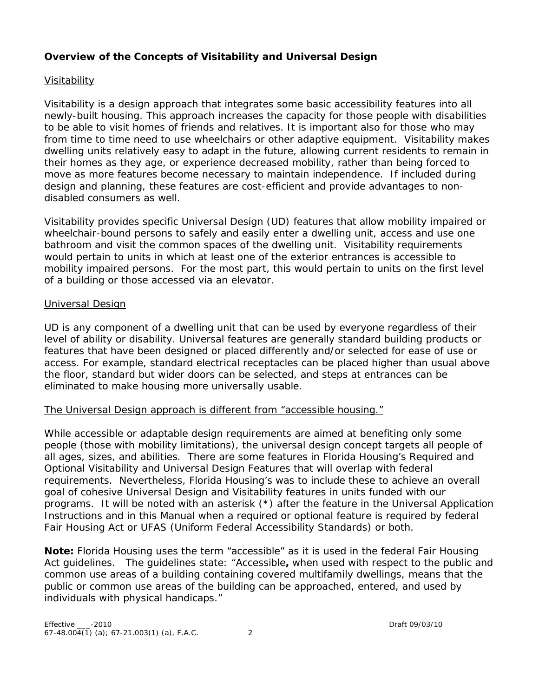# **Overview of the Concepts of Visitability and Universal Design**

# *Visitability*

Visitability is a design approach that integrates some basic accessibility features into all newly-built housing. This approach increases the capacity for those people with disabilities to be able to visit homes of friends and relatives. It is important also for those who may from time to time need to use wheelchairs or other adaptive equipment. Visitability makes dwelling units relatively easy to adapt in the future, allowing current residents to remain in their homes as they age, or experience decreased mobility, rather than being forced to move as more features become necessary to maintain independence. If included during design and planning, these features are cost-efficient and provide advantages to nondisabled consumers as well.

Visitability provides specific Universal Design (UD) features that allow mobility impaired or wheelchair-bound persons to safely and easily enter a dwelling unit, access and use one bathroom and visit the common spaces of the dwelling unit. Visitability requirements would pertain to units in which at least one of the exterior entrances is accessible to mobility impaired persons. For the most part, this would pertain to units on the first level of a building or those accessed via an elevator.

### *Universal Design*

UD is any component of a dwelling unit that can be used by everyone regardless of their level of ability or disability. Universal features are generally standard building products or features that have been designed or placed differently and/or selected for ease of use or access. For example, standard electrical receptacles can be placed higher than usual above the floor, standard but wider doors can be selected, and steps at entrances can be eliminated to make housing more universally usable.

# *The Universal Design approach is different from "accessible housing."*

While accessible or adaptable design requirements are aimed at benefiting only some people (those with mobility limitations), the universal design concept targets all people of all ages, sizes, and abilities. There are some features in Florida Housing's Required and Optional Visitability and Universal Design Features that will overlap with federal requirements. Nevertheless, Florida Housing's was to include these to achieve an overall goal of cohesive Universal Design and Visitability features in units funded with our programs. It will be noted with an asterisk (\*) after the feature in the Universal Application Instructions and in this Manual when a required or optional feature is required by federal Fair Housing Act or UFAS (Uniform Federal Accessibility Standards) or both.

**Note:** Florida Housing uses the term "accessible" as it is used in the federal Fair Housing Act guidelines. The guidelines state: "Accessible**,** when used with respect to the public and common use areas of a building containing covered multifamily dwellings, means that the public or common use areas of the building can be approached, entered, and used by individuals with physical handicaps."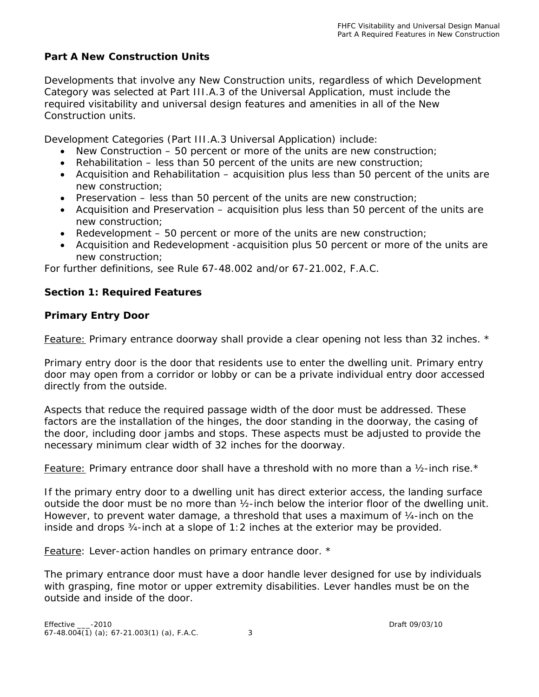# **Part A New Construction Units**

Developments that involve any New Construction units, regardless of which Development Category was selected at Part III.A.3 of the Universal Application, must include the required visitability and universal design features and amenities in all of the New Construction units.

Development Categories (Part III.A.3 Universal Application) include:

- New Construction 50 percent or more of the units are new construction;
- Rehabilitation less than 50 percent of the units are new construction;
- Acquisition and Rehabilitation acquisition plus less than 50 percent of the units are new construction;
- Preservation  $-$  less than 50 percent of the units are new construction;
- Acquisition and Preservation acquisition plus less than 50 percent of the units are new construction;
- Redevelopment 50 percent or more of the units are new construction;
- Acquisition and Redevelopment -acquisition plus 50 percent or more of the units are new construction;

For further definitions, see Rule 67-48.002 and/or 67-21.002, F.A.C.

#### **Section 1: Required Features**

#### **Primary Entry Door**

*Feature: Primary entrance doorway shall provide a clear opening not less than 32 inches. \**

Primary entry door is the door that residents use to enter the dwelling unit. Primary entry door may open from a corridor or lobby or can be a private individual entry door accessed directly from the outside.

Aspects that reduce the required passage width of the door must be addressed. These factors are the installation of the hinges, the door standing in the doorway, the casing of the door, including door jambs and stops. These aspects must be adjusted to provide the necessary minimum clear width of 32 inches for the doorway.

*Feature: Primary entrance door shall have a threshold with no more than a ½-inch rise.\**

If the primary entry door to a dwelling unit has direct exterior access, the landing surface outside the door must be no more than ½-inch below the interior floor of the dwelling unit. However, to prevent water damage, a threshold that uses a maximum of ¼-inch on the inside and drops ¾-inch at a slope of 1:2 inches at the exterior may be provided.

*Feature: Lever-action handles on primary entrance door. \** 

The primary entrance door must have a door handle lever designed for use by individuals with grasping, fine motor or upper extremity disabilities. Lever handles must be on the outside and inside of the door.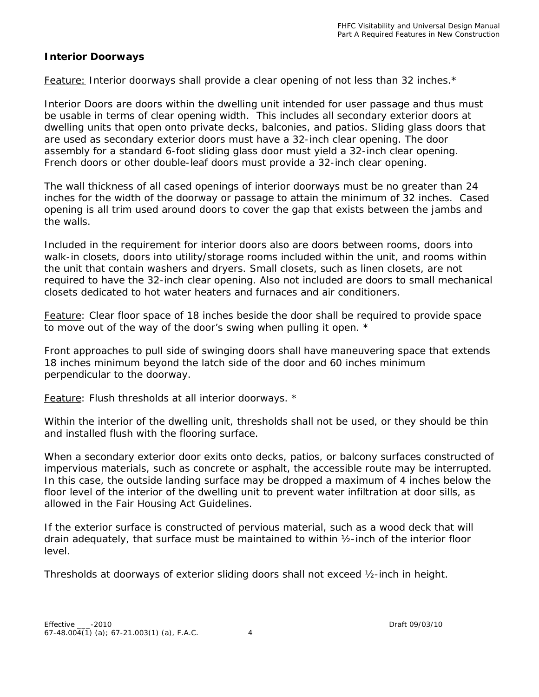### **Interior Doorways**

### *Feature: Interior doorways shall provide a clear opening of not less than 32 inches.\**

Interior Doors are doors within the dwelling unit intended for user passage and thus must be usable in terms of clear opening width. This includes all secondary exterior doors at dwelling units that open onto private decks, balconies, and patios. Sliding glass doors that are used as secondary exterior doors must have a 32-inch clear opening. The door assembly for a standard 6-foot sliding glass door must yield a 32-inch clear opening. French doors or other double-leaf doors must provide a 32-inch clear opening.

The wall thickness of all cased openings of interior doorways must be no greater than 24 inches for the width of the doorway or passage to attain the minimum of 32 inches. Cased opening is all trim used around doors to cover the gap that exists between the jambs and the walls.

Included in the requirement for interior doors also are doors between rooms, doors into walk-in closets, doors into utility/storage rooms included within the unit, and rooms within the unit that contain washers and dryers. Small closets, such as linen closets, are not required to have the 32-inch clear opening. Also not included are doors to small mechanical closets dedicated to hot water heaters and furnaces and air conditioners.

*Feature: Clear floor space of 18 inches beside the door shall be required to provide space to move out of the way of the door's swing when pulling it open. \** 

Front approaches to pull side of swinging doors shall have maneuvering space that extends 18 inches minimum beyond the latch side of the door and 60 inches minimum perpendicular to the doorway.

*Feature: Flush thresholds at all interior doorways. \**

Within the interior of the dwelling unit, thresholds shall not be used, or they should be thin and installed flush with the flooring surface.

When a secondary exterior door exits onto decks, patios, or balcony surfaces constructed of impervious materials, such as concrete or asphalt, the accessible route may be interrupted. In this case, the outside landing surface may be dropped a maximum of 4 inches below the floor level of the interior of the dwelling unit to prevent water infiltration at door sills, as allowed in the Fair Housing Act Guidelines.

If the exterior surface is constructed of pervious material, such as a wood deck that will drain adequately, that surface must be maintained to within ½-inch of the interior floor level.

Thresholds at doorways of exterior sliding doors shall not exceed ½-inch in height.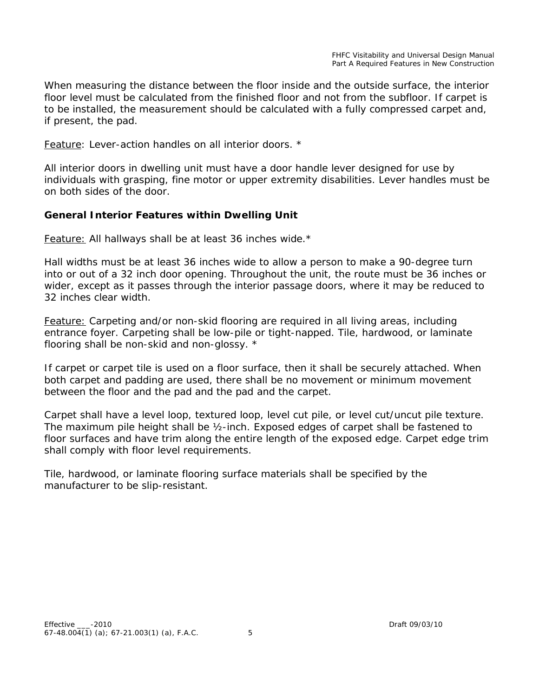When measuring the distance between the floor inside and the outside surface, the interior floor level must be calculated from the finished floor and not from the subfloor. If carpet is to be installed, the measurement should be calculated with a fully compressed carpet and, if present, the pad.

#### *Feature: Lever-action handles on all interior doors. \**

All interior doors in dwelling unit must have a door handle lever designed for use by individuals with grasping, fine motor or upper extremity disabilities. Lever handles must be on both sides of the door.

#### **General Interior Features within Dwelling Unit**

#### *Feature: All hallways shall be at least 36 inches wide.\**

Hall widths must be at least 36 inches wide to allow a person to make a 90-degree turn into or out of a 32 inch door opening. Throughout the unit, the route must be 36 inches or wider, except as it passes through the interior passage doors, where it may be reduced to 32 inches clear width.

*Feature: Carpeting and/or non-skid flooring are required in all living areas, including entrance foyer. Carpeting shall be low-pile or tight-napped. Tile, hardwood, or laminate flooring shall be non-skid and non-glossy. \**

If carpet or carpet tile is used on a floor surface, then it shall be securely attached. When both carpet and padding are used, there shall be no movement or minimum movement between the floor and the pad and the pad and the carpet.

Carpet shall have a level loop, textured loop, level cut pile, or level cut/uncut pile texture. The maximum pile height shall be ½-inch. Exposed edges of carpet shall be fastened to floor surfaces and have trim along the entire length of the exposed edge. Carpet edge trim shall comply with floor level requirements.

Tile, hardwood, or laminate flooring surface materials shall be specified by the manufacturer to be slip-resistant.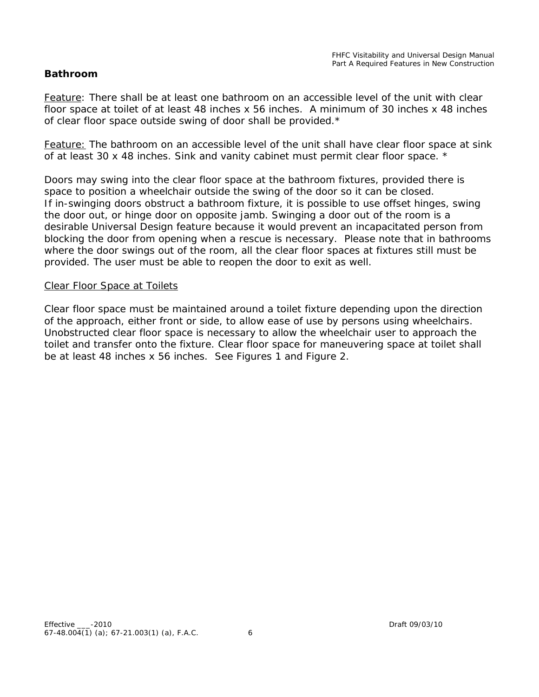#### **Bathroom**

*Feature: There shall be at least one bathroom on an accessible level of the unit with clear floor space at toilet of at least 48 inches x 56 inches. A minimum of 30 inches x 48 inches of clear floor space outside swing of door shall be provided.\** 

*Feature: The bathroom on an accessible level of the unit shall have clear floor space at sink of at least 30 x 48 inches. Sink and vanity cabinet must permit clear floor space. \**

Doors may swing into the clear floor space at the bathroom fixtures, provided there is space to position a wheelchair outside the swing of the door so it can be closed. If in-swinging doors obstruct a bathroom fixture, it is possible to use offset hinges, swing the door out, or hinge door on opposite jamb. Swinging a door out of the room is a desirable Universal Design feature because it would prevent an incapacitated person from blocking the door from opening when a rescue is necessary. Please note that in bathrooms where the door swings out of the room, all the clear floor spaces at fixtures still must be provided. The user must be able to reopen the door to exit as well.

#### *Clear Floor Space at Toilets*

Clear floor space must be maintained around a toilet fixture depending upon the direction of the approach, either front or side, to allow ease of use by persons using wheelchairs. Unobstructed clear floor space is necessary to allow the wheelchair user to approach the toilet and transfer onto the fixture. Clear floor space for maneuvering space at toilet shall be at least 48 inches x 56 inches. See Figures 1 and Figure 2.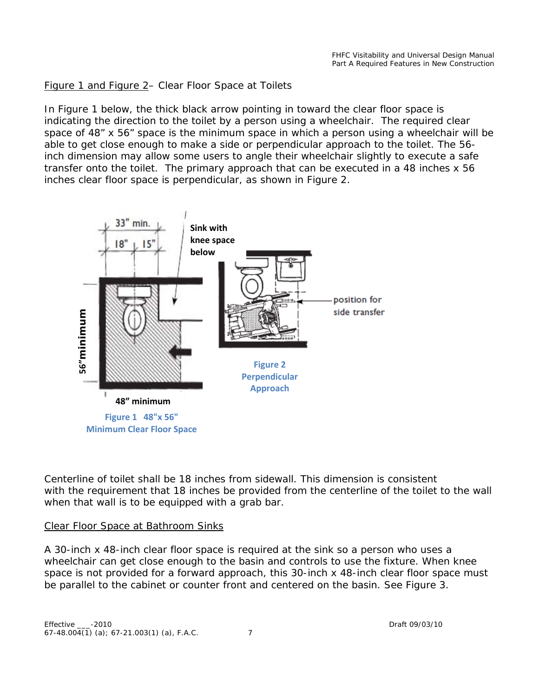Figure 1 and Figure 2– Clear Floor Space at Toilets

In Figure 1 below, the thick black arrow pointing in toward the clear floor space is indicating the direction to the toilet by a person using a wheelchair. The required clear space of 48" x 56" space is the minimum space in which a person using a wheelchair will be able to get close enough to make a side or perpendicular approach to the toilet. The 56 inch dimension may allow some users to angle their wheelchair slightly to execute a safe transfer onto the toilet. The primary approach that can be executed in a 48 inches x 56 inches clear floor space is perpendicular, as shown in Figure 2.



Centerline of toilet shall be 18 inches from sidewall. This dimension is consistent with the requirement that 18 inches be provided from the centerline of the toilet to the wall when that wall is to be equipped with a grab bar.

#### *Clear Floor Space at Bathroom Sinks*

A 30-inch x 48-inch clear floor space is required at the sink so a person who uses a wheelchair can get close enough to the basin and controls to use the fixture. When knee space is not provided for a forward approach, this 30-inch x 48-inch clear floor space must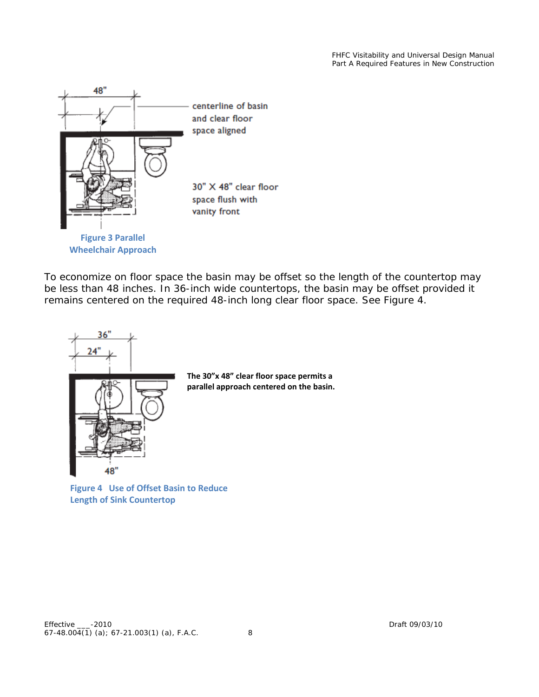FHFC Visitability and Universal Design Manual Part A Required Features in New Construction



To economize on floor space the basin may be offset so the length of the countertop may be less than 48 inches. In 36-inch wide countertops, the basin may be offset provided it remains centered on the required 48-inch long clear floor space. See Figure 4.



**Figure 4 Use of Offset Basin to Reduce Length of Sink Countertop**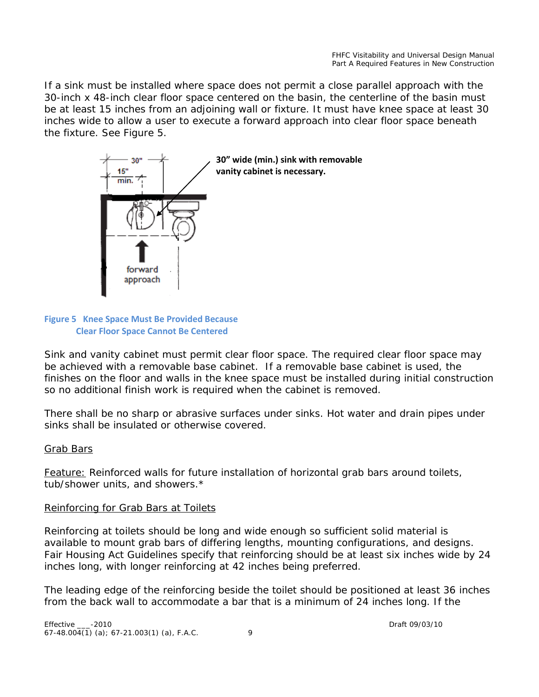If a sink must be installed where space does not permit a close parallel approach with the 30-inch x 48-inch clear floor space centered on the basin, the centerline of the basin must be at least 15 inches from an adjoining wall or fixture. It must have knee space at least 30 inches wide to allow a user to execute a forward approach into clear floor space beneath the fixture. See Figure 5.



#### **Figure 5 Knee Space Must Be Provided Because Clear Floor Space Cannot Be Centered**

Sink and vanity cabinet must permit clear floor space. The required clear floor space may be achieved with a removable base cabinet. If a removable base cabinet is used, the finishes on the floor and walls in the knee space must be installed during initial construction so no additional finish work is required when the cabinet is removed.

There shall be no sharp or abrasive surfaces under sinks. Hot water and drain pipes under sinks shall be insulated or otherwise covered.

# Grab Bars

*Feature: Reinforced walls for future installation of horizontal grab bars around toilets, tub/shower units, and showers*.\*

#### *Reinforcing for Grab Bars at Toilets*

Reinforcing at toilets should be long and wide enough so sufficient solid material is available to mount grab bars of differing lengths, mounting configurations, and designs. Fair Housing Act Guidelines specify that reinforcing should be at least six inches wide by 24 inches long, with longer reinforcing at 42 inches being preferred.

The leading edge of the reinforcing beside the toilet should be positioned at least 36 inches from the back wall to accommodate a bar that is a minimum of 24 inches long. If the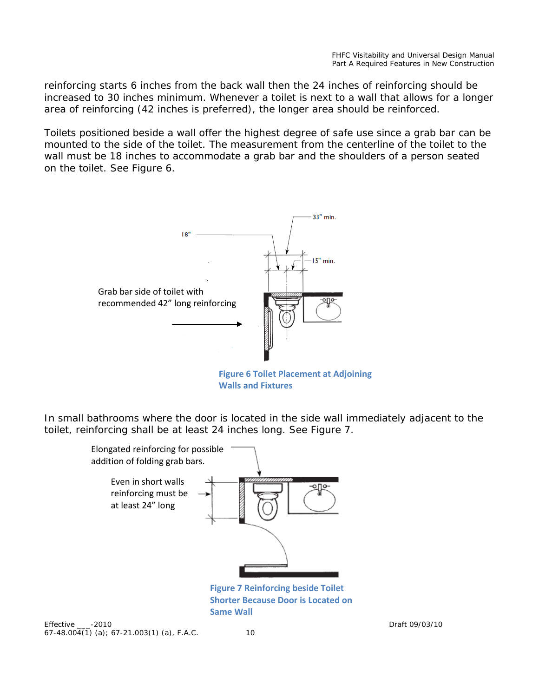reinforcing starts 6 inches from the back wall then the 24 inches of reinforcing should be increased to 30 inches minimum. Whenever a toilet is next to a wall that allows for a longer area of reinforcing (42 inches is preferred), the longer area should be reinforced.

Toilets positioned beside a wall offer the highest degree of safe use since a grab bar can be mounted to the side of the toilet. The measurement from the centerline of the toilet to the wall must be 18 inches to accommodate a grab bar and the shoulders of a person seated on the toilet. See Figure 6.



**Figure 6 Toilet Placement at Adjoining Walls and Fixtures**

In small bathrooms where the door is located in the side wall immediately adjacent to the toilet, reinforcing shall be at least 24 inches long. See Figure 7.

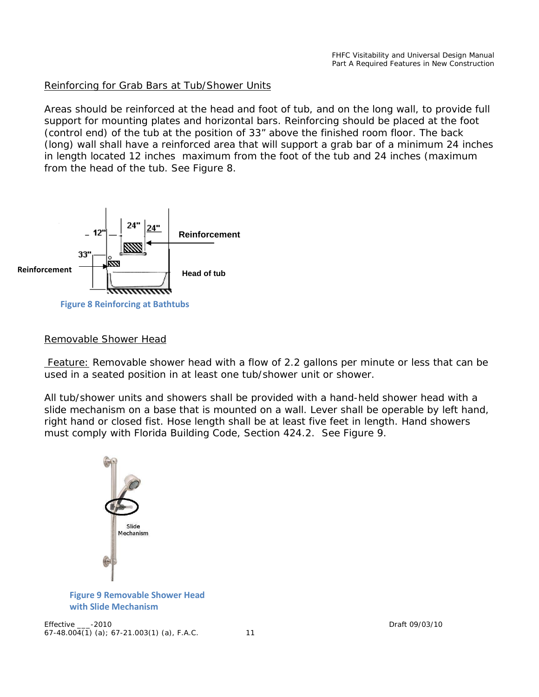#### *Reinforcing for Grab Bars at Tub/Shower Units*

Areas should be reinforced at the head and foot of tub, and on the long wall, to provide full support for mounting plates and horizontal bars. Reinforcing should be placed at the foot (control end) of the tub at the position of 33" above the finished room floor. The back (long) wall shall have a reinforced area that will support a grab bar of a minimum 24 inches in length located 12 inches maximum from the foot of the tub and 24 inches (maximum from the head of the tub. See Figure 8.



#### *Removable Shower Head*

*Feature: Removable shower head with a flow of 2.2 gallons per minute or less that can be used in a seated position in at least one tub/shower unit or shower.*

All tub/shower units and showers shall be provided with a hand-held shower head with a slide mechanism on a base that is mounted on a wall. Lever shall be operable by left hand, right hand or closed fist. Hose length shall be at least five feet in length. Hand showers must comply with Florida Building Code, Section 424.2. See Figure 9.



#### **Figure 9 Removable Shower Head with Slide Mechanism**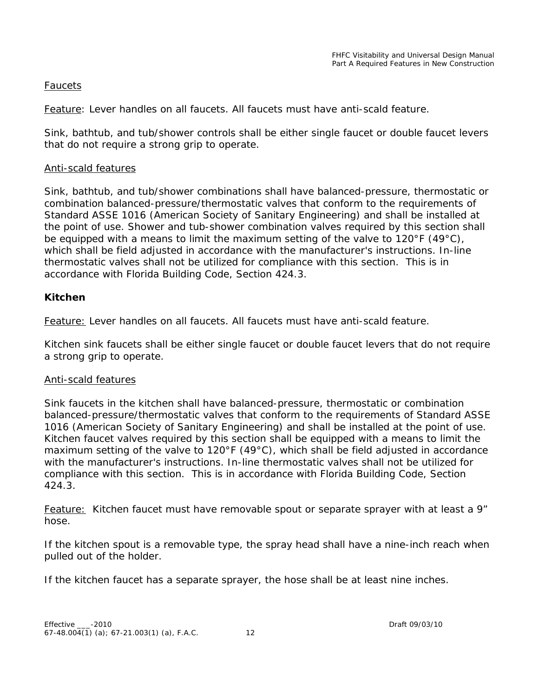### *Faucets*

*Feature: Lever handles on all faucets. All faucets must have anti-scald feature.*

Sink, bathtub, and tub/shower controls shall be either single faucet or double faucet levers that do not require a strong grip to operate.

#### *Anti-scald features*

Sink, bathtub, and tub/shower combinations shall have balanced-pressure, thermostatic or combination balanced-pressure/thermostatic valves that conform to the requirements of Standard ASSE 1016 (American Society of Sanitary Engineering) and shall be installed at the point of use. Shower and tub-shower combination valves required by this section shall be equipped with a means to limit the maximum setting of the valve to 120 $\degree$ F (49 $\degree$ C), which shall be field adjusted in accordance with the manufacturer's instructions. In-line thermostatic valves shall not be utilized for compliance with this section. This is in accordance with Florida Building Code, Section 424.3.

# **Kitchen**

*Feature: Lever handles on all faucets. All faucets must have anti-scald feature.*

Kitchen sink faucets shall be either single faucet or double faucet levers that do not require a strong grip to operate.

#### *Anti-scald features*

Sink faucets in the kitchen shall have balanced-pressure, thermostatic or combination balanced-pressure/thermostatic valves that conform to the requirements of Standard ASSE 1016 (American Society of Sanitary Engineering) and shall be installed at the point of use. Kitchen faucet valves required by this section shall be equipped with a means to limit the maximum setting of the valve to 120°F (49°C), which shall be field adjusted in accordance with the manufacturer's instructions. In-line thermostatic valves shall not be utilized for compliance with this section. This is in accordance with Florida Building Code, Section 424.3.

*Feature: Kitchen faucet must have removable spout or separate sprayer with at least a 9" hose.*

If the kitchen spout is a removable type, the spray head shall have a nine-inch reach when pulled out of the holder.

If the kitchen faucet has a separate sprayer, the hose shall be at least nine inches.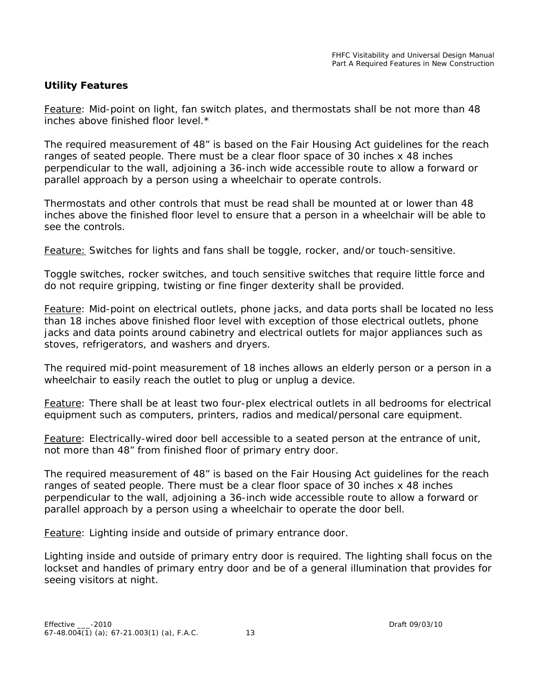### **Utility Features**

*Feature: Mid-point on light, fan switch plates, and thermostats shall be not more than 48 inches above finished floor level.\**

The required measurement of 48" is based on the Fair Housing Act guidelines for the reach ranges of seated people. There must be a clear floor space of 30 inches x 48 inches perpendicular to the wall, adjoining a 36-inch wide accessible route to allow a forward or parallel approach by a person using a wheelchair to operate controls.

Thermostats and other controls that must be read shall be mounted at or lower than 48 inches above the finished floor level to ensure that a person in a wheelchair will be able to see the controls.

*Feature: Switches for lights and fans shall be toggle, rocker, and/or touch-sensitive.* 

Toggle switches, rocker switches, and touch sensitive switches that require little force and do not require gripping, twisting or fine finger dexterity shall be provided.

*Feature: Mid-point on electrical outlets, phone jacks, and data ports shall be located no less than 18 inches above finished floor level with exception of those electrical outlets, phone jacks and data points around cabinetry and electrical outlets for major appliances such as stoves, refrigerators, and washers and dryers.*

The required mid-point measurement of 18 inches allows an elderly person or a person in a wheelchair to easily reach the outlet to plug or unplug a device.

*Feature: There shall be at least two four-plex electrical outlets in all bedrooms for electrical equipment such as computers, printers, radios and medical/personal care equipment.*

*Feature: Electrically-wired door bell accessible to a seated person at the entrance of unit, not more than 48" from finished floor of primary entry door.* 

The required measurement of 48" is based on the Fair Housing Act guidelines for the reach ranges of seated people. There must be a clear floor space of 30 inches x 48 inches perpendicular to the wall, adjoining a 36-inch wide accessible route to allow a forward or parallel approach by a person using a wheelchair to operate the door bell.

*Feature: Lighting inside and outside of primary entrance door.* 

Lighting inside and outside of primary entry door is required. The lighting shall focus on the lockset and handles of primary entry door and be of a general illumination that provides for seeing visitors at night.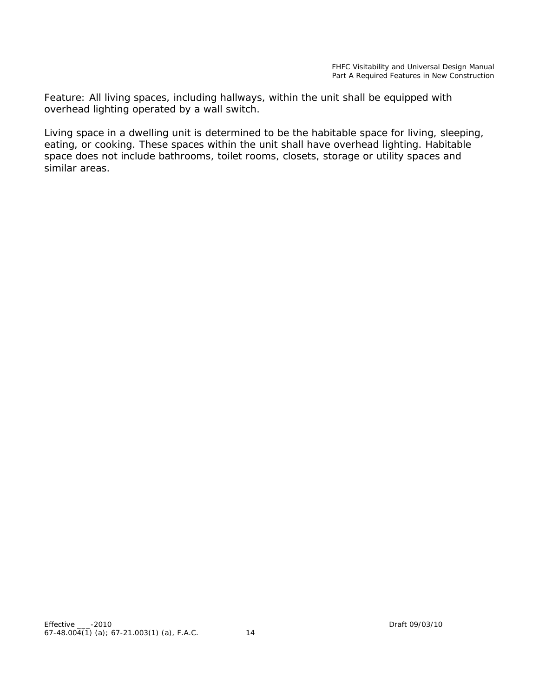*Feature: All living spaces, including hallways, within the unit shall be equipped with overhead lighting operated by a wall switch.*

Living space in a dwelling unit is determined to be the habitable space for living, sleeping, eating, or cooking. These spaces within the unit shall have overhead lighting. Habitable space does not include bathrooms, toilet rooms, closets, storage or utility spaces and similar areas.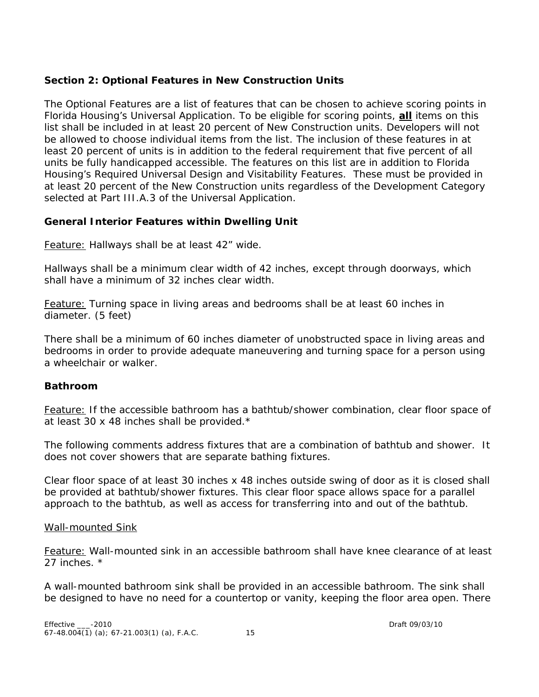# **Section 2: Optional Features in New Construction Units**

The Optional Features are a list of features that can be chosen to achieve scoring points in Florida Housing's Universal Application. To be eligible for scoring points, **all** items on this list shall be included in at least 20 percent of New Construction units. Developers will not be allowed to choose individual items from the list. The inclusion of these features in at least 20 percent of units is in addition to the federal requirement that five percent of all units be fully handicapped accessible. The features on this list are in addition to Florida Housing's Required Universal Design and Visitability Features. These must be provided in at least 20 percent of the New Construction units regardless of the Development Category selected at Part III.A.3 of the Universal Application.

# **General Interior Features within Dwelling Unit**

*Feature: Hallways shall be at least 42" wide.*

Hallways shall be a minimum clear width of 42 inches, except through doorways, which shall have a minimum of 32 inches clear width.

*Feature: Turning space in living areas and bedrooms shall be at least 60 inches in diameter. (5 feet)* 

There shall be a minimum of 60 inches diameter of unobstructed space in living areas and bedrooms in order to provide adequate maneuvering and turning space for a person using a wheelchair or walker.

# **Bathroom**

*Feature: If the accessible bathroom has a bathtub/shower combination, clear floor space of at least 30 x 48 inches shall be provided.\**

The following comments address fixtures that are a combination of bathtub and shower. It does not cover showers that are separate bathing fixtures.

Clear floor space of at least 30 inches x 48 inches outside swing of door as it is closed shall be provided at bathtub/shower fixtures. This clear floor space allows space for a parallel approach to the bathtub, as well as access for transferring into and out of the bathtub.

# Wall-mounted Sink

*Feature: Wall-mounted sink in an accessible bathroom shall have knee clearance of at least 27 inches. \**

A wall-mounted bathroom sink shall be provided in an accessible bathroom. The sink shall be designed to have no need for a countertop or vanity, keeping the floor area open. There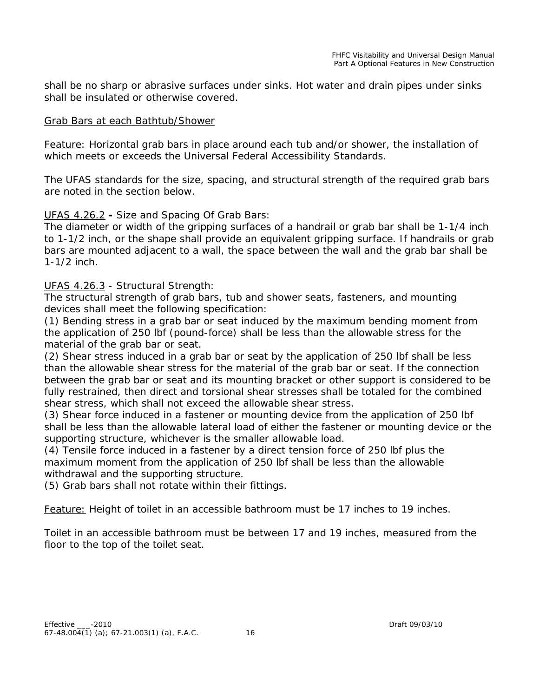shall be no sharp or abrasive surfaces under sinks. Hot water and drain pipes under sinks shall be insulated or otherwise covered.

#### Grab Bars at each Bathtub/Shower

*Feature: Horizontal grab bars in place around each tub and/or shower, the installation of which meets or exceeds the Universal Federal Accessibility Standards.* 

The UFAS standards for the size, spacing, and structural strength of the required grab bars are noted in the section below.

#### UFAS 4.26.2 **-** Size and Spacing Of Grab Bars:

The diameter or width of the gripping surfaces of a handrail or grab bar shall be 1-1/4 inch to 1-1/2 inch, or the shape shall provide an equivalent gripping surface. If handrails or grab bars are mounted adjacent to a wall, the space between the wall and the grab bar shall be 1-1/2 inch.

#### UFAS 4.26.3 - Structural Strength:

The structural strength of grab bars, tub and shower seats, fasteners, and mounting devices shall meet the following specification:

(1) Bending stress in a grab bar or seat induced by the maximum bending moment from the application of 250 lbf (pound-force) shall be less than the allowable stress for the material of the grab bar or seat.

(2) Shear stress induced in a grab bar or seat by the application of 250 lbf shall be less than the allowable shear stress for the material of the grab bar or seat. If the connection between the grab bar or seat and its mounting bracket or other support is considered to be fully restrained, then direct and torsional shear stresses shall be totaled for the combined shear stress, which shall not exceed the allowable shear stress.

(3) Shear force induced in a fastener or mounting device from the application of 250 lbf shall be less than the allowable lateral load of either the fastener or mounting device or the supporting structure, whichever is the smaller allowable load.

(4) Tensile force induced in a fastener by a direct tension force of 250 lbf plus the maximum moment from the application of 250 lbf shall be less than the allowable withdrawal and the supporting structure.

(5) Grab bars shall not rotate within their fittings*.*

*Feature: Height of toilet in an accessible bathroom must be 17 inches to 19 inches*.

Toilet in an accessible bathroom must be between 17 and 19 inches, measured from the floor to the top of the toilet seat.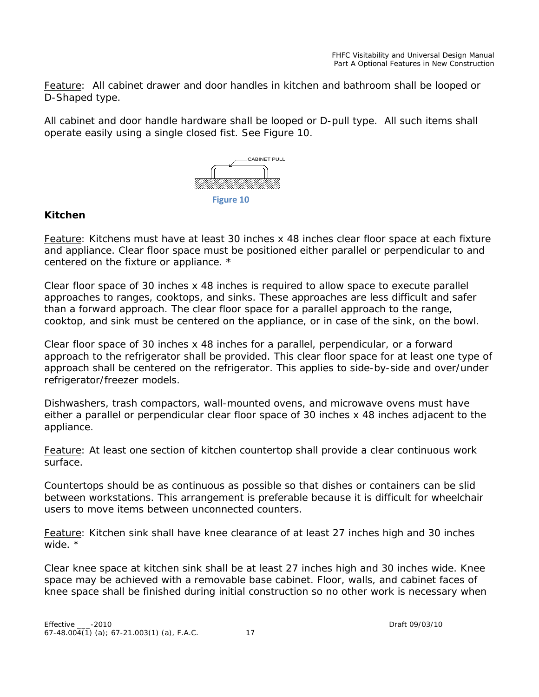*Feature: All cabinet drawer and door handles in kitchen and bathroom shall be looped or D-Shaped type.*

All cabinet and door handle hardware shall be looped or D-pull type. All such items shall operate easily using a single closed fist. See Figure 10.



### **Kitchen**

*Feature: Kitchens must have at least 30 inches x 48 inches clear floor space at each fixture and appliance. Clear floor space must be positioned either parallel or perpendicular to and centered on the fixture or appliance. \** 

Clear floor space of 30 inches x 48 inches is required to allow space to execute parallel approaches to ranges, cooktops, and sinks. These approaches are less difficult and safer than a forward approach. The clear floor space for a parallel approach to the range, cooktop, and sink must be centered on the appliance, or in case of the sink, on the bowl.

Clear floor space of 30 inches x 48 inches for a parallel, perpendicular, or a forward approach to the refrigerator shall be provided. This clear floor space for at least one type of approach shall be centered on the refrigerator. This applies to side-by-side and over/under refrigerator/freezer models.

Dishwashers, trash compactors, wall-mounted ovens, and microwave ovens must have either a parallel or perpendicular clear floor space of 30 inches x 48 inches adjacent to the appliance.

*Feature: At least one section of kitchen countertop shall provide a clear continuous work surface.* 

Countertops should be as continuous as possible so that dishes or containers can be slid between workstations. This arrangement is preferable because it is difficult for wheelchair users to move items between unconnected counters.

*Feature: Kitchen sink shall have knee clearance of at least 27 inches high and 30 inches wide. \**

Clear knee space at kitchen sink shall be at least 27 inches high and 30 inches wide. Knee space may be achieved with a removable base cabinet. Floor, walls, and cabinet faces of knee space shall be finished during initial construction so no other work is necessary when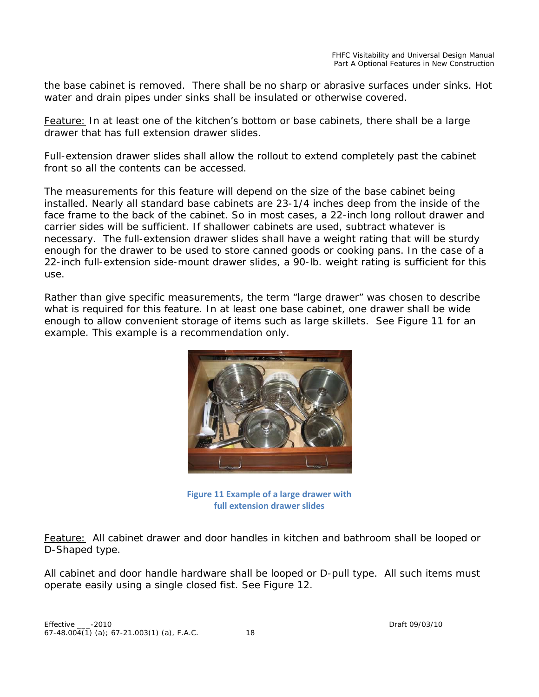the base cabinet is removed. There shall be no sharp or abrasive surfaces under sinks. Hot water and drain pipes under sinks shall be insulated or otherwise covered.

*Feature: In at least one of the kitchen's bottom or base cabinets, there shall be a large drawer that has full extension drawer slides.*

Full-extension drawer slides shall allow the rollout to extend completely past the cabinet front so all the contents can be accessed.

The measurements for this feature will depend on the size of the base cabinet being installed. Nearly all standard base cabinets are 23-1/4 inches deep from the inside of the face frame to the back of the cabinet. So in most cases, a 22-inch long rollout drawer and carrier sides will be sufficient. If shallower cabinets are used, subtract whatever is necessary. The full-extension drawer slides shall have a weight rating that will be sturdy enough for the drawer to be used to store canned goods or cooking pans. In the case of a 22-inch full-extension side-mount drawer slides, a 90-lb. weight rating is sufficient for this use.

Rather than give specific measurements, the term "large drawer" was chosen to describe what is required for this feature. In at least one base cabinet, one drawer shall be wide enough to allow convenient storage of items such as large skillets. See Figure 11 for an example. This example is a recommendation only.



**Figure 11 Example of a large drawer with full extension drawer slides**

*Feature: All cabinet drawer and door handles in kitchen and bathroom shall be looped or D-Shaped type.*

All cabinet and door handle hardware shall be looped or D-pull type. All such items must operate easily using a single closed fist. See Figure 12.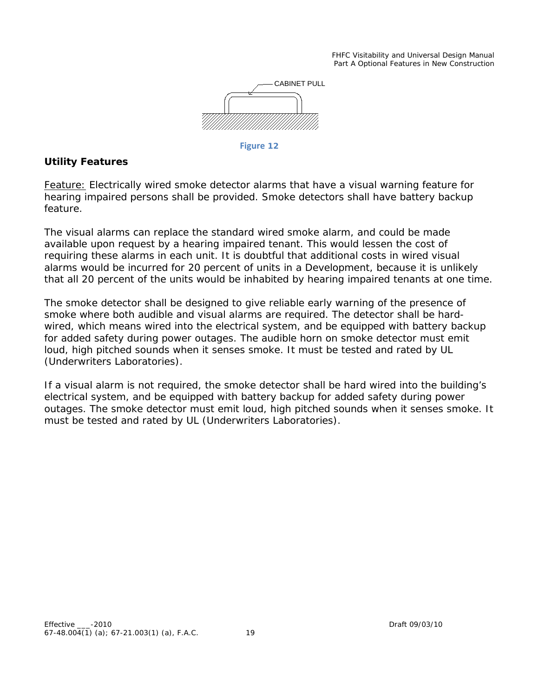FHFC Visitability and Universal Design Manual Part A Optional Features in New Construction



**Figure 12**

### **Utility Features**

*Feature: Electrically wired smoke detector alarms that have a visual warning feature for hearing impaired persons shall be provided. Smoke detectors shall have battery backup feature.* 

The visual alarms can replace the standard wired smoke alarm, and could be made available upon request by a hearing impaired tenant. This would lessen the cost of requiring these alarms in each unit. It is doubtful that additional costs in wired visual alarms would be incurred for 20 percent of units in a Development, because it is unlikely that all 20 percent of the units would be inhabited by hearing impaired tenants at one time.

The smoke detector shall be designed to give reliable early warning of the presence of smoke where both audible and visual alarms are required. The detector shall be hardwired, which means wired into the electrical system, and be equipped with battery backup for added safety during power outages. The audible horn on smoke detector must emit loud, high pitched sounds when it senses smoke. It must be tested and rated by UL (Underwriters Laboratories).

If a visual alarm is not required, the smoke detector shall be hard wired into the building's electrical system, and be equipped with battery backup for added safety during power outages. The smoke detector must emit loud, high pitched sounds when it senses smoke. It must be tested and rated by UL (Underwriters Laboratories).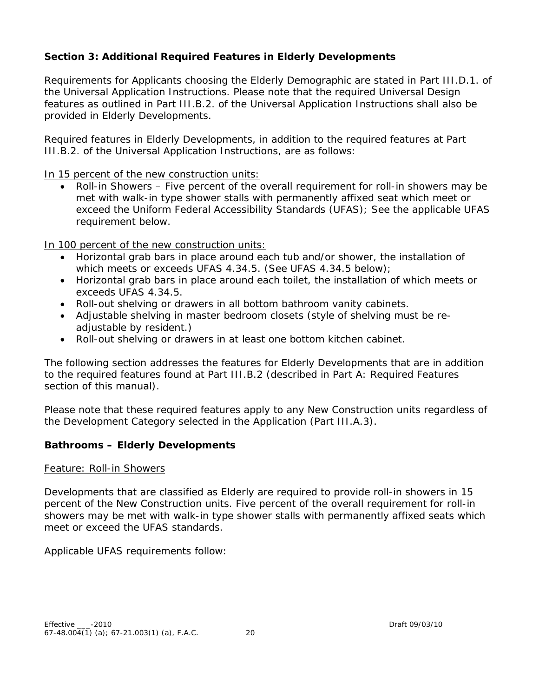# **Section 3: Additional Required Features in Elderly Developments**

Requirements for Applicants choosing the Elderly Demographic are stated in Part III.D.1. of the Universal Application Instructions. Please note that the required Universal Design features as outlined in Part III.B.2. of the Universal Application Instructions shall also be provided in Elderly Developments.

Required features in Elderly Developments, in addition to the required features at Part III.B.2. of the Universal Application Instructions, are as follows:

In 15 percent of the new construction units:

• Roll-in Showers – Five percent of the overall requirement for roll-in showers may be met with walk-in type shower stalls with permanently affixed seat which meet or exceed the Uniform Federal Accessibility Standards (UFAS); See the applicable UFAS requirement below.

In 100 percent of the new construction units:

- Horizontal grab bars in place around each tub and/or shower, the installation of which meets or exceeds UFAS 4.34.5. (See UFAS 4.34.5 below);
- Horizontal grab bars in place around each toilet, the installation of which meets or exceeds UFAS 4.34.5.
- Roll-out shelving or drawers in all bottom bathroom vanity cabinets.
- Adjustable shelving in master bedroom closets (style of shelving must be readjustable by resident.)
- Roll-out shelving or drawers in at least one bottom kitchen cabinet.

The following section addresses the features for Elderly Developments that are in addition to the required features found at Part III.B.2 (described in Part A: Required Features section of this manual).

Please note that these required features apply to any New Construction units regardless of the Development Category selected in the Application (Part III.A.3).

# **Bathrooms – Elderly Developments**

#### *Feature: Roll-in Showers*

Developments that are classified as Elderly are required to provide roll-in showers in 15 percent of the New Construction units. Five percent of the overall requirement for roll-in showers may be met with walk-in type shower stalls with permanently affixed seats which meet or exceed the UFAS standards.

Applicable UFAS requirements follow: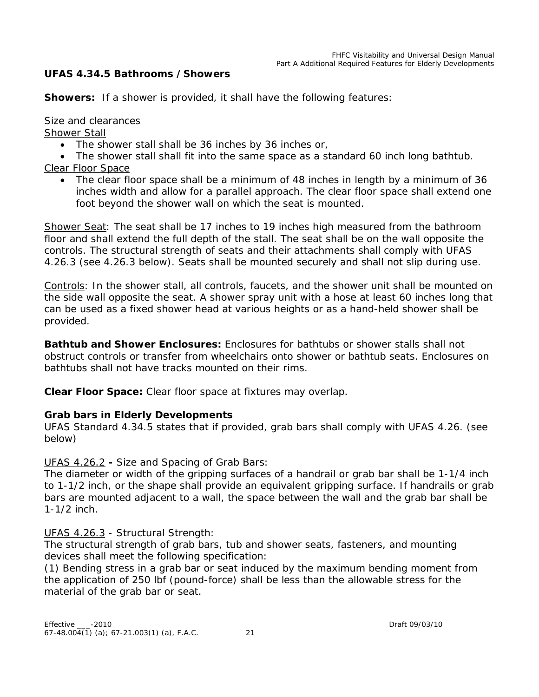# **UFAS 4.34.5 Bathrooms /Showers**

**Showers:** If a shower is provided, it shall have the following features:

Size and clearances

Shower Stall

• The shower stall shall be 36 inches by 36 inches or,

• The shower stall shall fit into the same space as a standard 60 inch long bathtub. Clear Floor Space

• The clear floor space shall be a minimum of 48 inches in length by a minimum of 36 inches width and allow for a parallel approach. The clear floor space shall extend one foot beyond the shower wall on which the seat is mounted.

Shower Seat: The seat shall be 17 inches to 19 inches high measured from the bathroom floor and shall extend the full depth of the stall. The seat shall be on the wall opposite the controls. The structural strength of seats and their attachments shall comply with UFAS 4.26.3 (see 4.26.3 below). Seats shall be mounted securely and shall not slip during use.

Controls: In the shower stall, all controls, faucets, and the shower unit shall be mounted on the side wall opposite the seat. A shower spray unit with a hose at least 60 inches long that can be used as a fixed shower head at various heights or as a hand-held shower shall be provided.

**Bathtub and Shower Enclosures:** Enclosures for bathtubs or shower stalls shall not obstruct controls or transfer from wheelchairs onto shower or bathtub seats. Enclosures on bathtubs shall not have tracks mounted on their rims.

**Clear Floor Space:** Clear floor space at fixtures may overlap.

# **Grab bars in Elderly Developments**

UFAS Standard 4.34.5 states that if provided, grab bars shall comply with UFAS 4.26. (see below)

UFAS 4.26.2 **-** Size and Spacing of Grab Bars:

The diameter or width of the gripping surfaces of a handrail or grab bar shall be 1-1/4 inch to 1-1/2 inch, or the shape shall provide an equivalent gripping surface. If handrails or grab bars are mounted adjacent to a wall, the space between the wall and the grab bar shall be 1-1/2 inch.

UFAS 4.26.3 - Structural Strength:

The structural strength of grab bars, tub and shower seats, fasteners, and mounting devices shall meet the following specification:

(1) Bending stress in a grab bar or seat induced by the maximum bending moment from the application of 250 lbf (pound-force) shall be less than the allowable stress for the material of the grab bar or seat.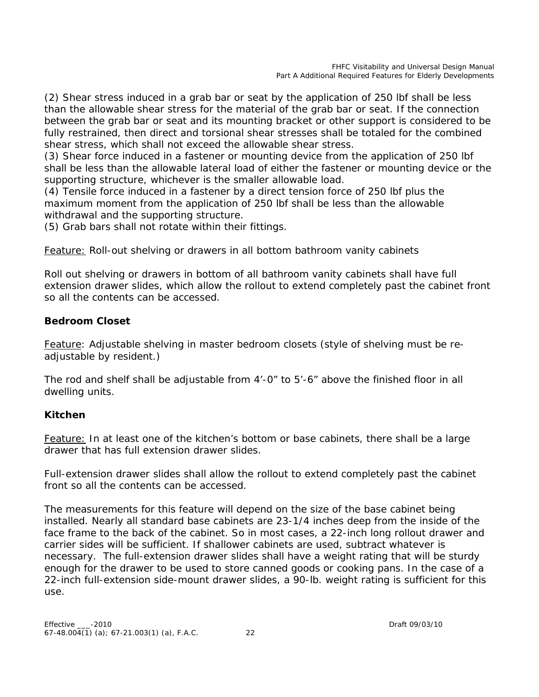(2) Shear stress induced in a grab bar or seat by the application of 250 lbf shall be less than the allowable shear stress for the material of the grab bar or seat. If the connection between the grab bar or seat and its mounting bracket or other support is considered to be fully restrained, then direct and torsional shear stresses shall be totaled for the combined shear stress, which shall not exceed the allowable shear stress.

(3) Shear force induced in a fastener or mounting device from the application of 250 lbf shall be less than the allowable lateral load of either the fastener or mounting device or the supporting structure, whichever is the smaller allowable load.

(4) Tensile force induced in a fastener by a direct tension force of 250 lbf plus the maximum moment from the application of 250 lbf shall be less than the allowable withdrawal and the supporting structure.

(5) Grab bars shall not rotate within their fittings*.*

*Feature: Roll-out shelving or drawers in all bottom bathroom vanity cabinets*

Roll out shelving or drawers in bottom of all bathroom vanity cabinets shall have full extension drawer slides, which allow the rollout to extend completely past the cabinet front so all the contents can be accessed.

# **Bedroom Closet**

*Feature: Adjustable shelving in master bedroom closets (style of shelving must be readjustable by resident.)*

The rod and shelf shall be adjustable from 4'-0" to 5'-6" above the finished floor in all dwelling units.

# **Kitchen**

*Feature: In at least one of the kitchen's bottom or base cabinets, there shall be a large drawer that has full extension drawer slides.*

Full-extension drawer slides shall allow the rollout to extend completely past the cabinet front so all the contents can be accessed.

The measurements for this feature will depend on the size of the base cabinet being installed. Nearly all standard base cabinets are 23-1/4 inches deep from the inside of the face frame to the back of the cabinet. So in most cases, a 22-inch long rollout drawer and carrier sides will be sufficient. If shallower cabinets are used, subtract whatever is necessary. The full-extension drawer slides shall have a weight rating that will be sturdy enough for the drawer to be used to store canned goods or cooking pans. In the case of a 22-inch full-extension side-mount drawer slides, a 90-lb. weight rating is sufficient for this use.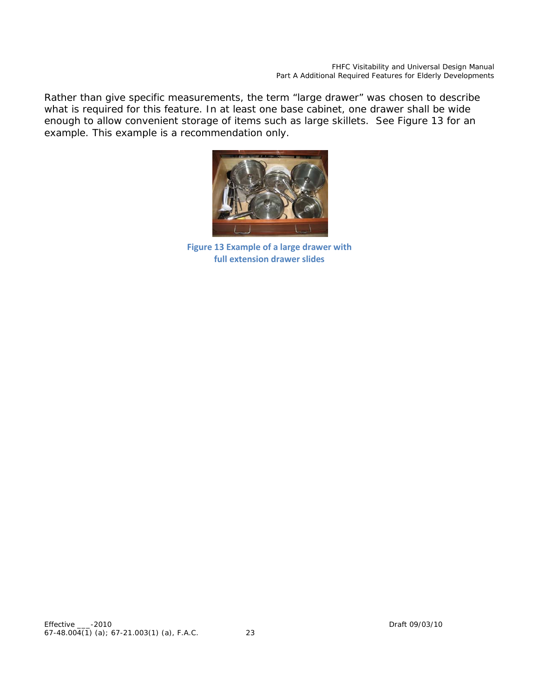Rather than give specific measurements, the term "large drawer" was chosen to describe what is required for this feature. In at least one base cabinet, one drawer shall be wide enough to allow convenient storage of items such as large skillets. See Figure 13 for an example. This example is a recommendation only.



**Figure 13 Example of a large drawer with full extension drawer slides**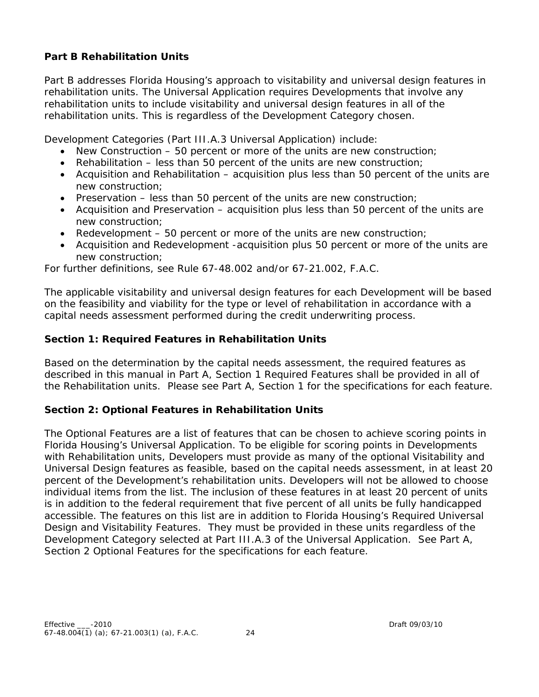# **Part B Rehabilitation Units**

Part B addresses Florida Housing's approach to visitability and universal design features in rehabilitation units. The Universal Application requires Developments that involve any rehabilitation units to include visitability and universal design features in all of the rehabilitation units. This is regardless of the Development Category chosen.

Development Categories (Part III.A.3 Universal Application) include:

- New Construction 50 percent or more of the units are new construction;
- Rehabilitation less than 50 percent of the units are new construction;
- Acquisition and Rehabilitation acquisition plus less than 50 percent of the units are new construction;
- Preservation  $-$  less than 50 percent of the units are new construction;
- Acquisition and Preservation acquisition plus less than 50 percent of the units are new construction;
- Redevelopment 50 percent or more of the units are new construction;
- Acquisition and Redevelopment -acquisition plus 50 percent or more of the units are new construction;

For further definitions, see Rule 67-48.002 and/or 67-21.002, F.A.C.

The applicable visitability and universal design features for each Development will be based on the feasibility and viability for the type or level of rehabilitation in accordance with a capital needs assessment performed during the credit underwriting process.

# **Section 1: Required Features in Rehabilitation Units**

Based on the determination by the capital needs assessment, the required features as described in this manual in Part A, Section 1 Required Features shall be provided in all of the Rehabilitation units. Please see Part A, Section 1 for the specifications for each feature.

# **Section 2: Optional Features in Rehabilitation Units**

The Optional Features are a list of features that can be chosen to achieve scoring points in Florida Housing's Universal Application. To be eligible for scoring points in Developments with Rehabilitation units, Developers must provide as many of the optional Visitability and Universal Design features as feasible, based on the capital needs assessment, in at least 20 percent of the Development's rehabilitation units. Developers will not be allowed to choose individual items from the list. The inclusion of these features in at least 20 percent of units is in addition to the federal requirement that five percent of all units be fully handicapped accessible. The features on this list are in addition to Florida Housing's Required Universal Design and Visitability Features. They must be provided in these units regardless of the Development Category selected at Part III.A.3 of the Universal Application. See Part A, Section 2 Optional Features for the specifications for each feature.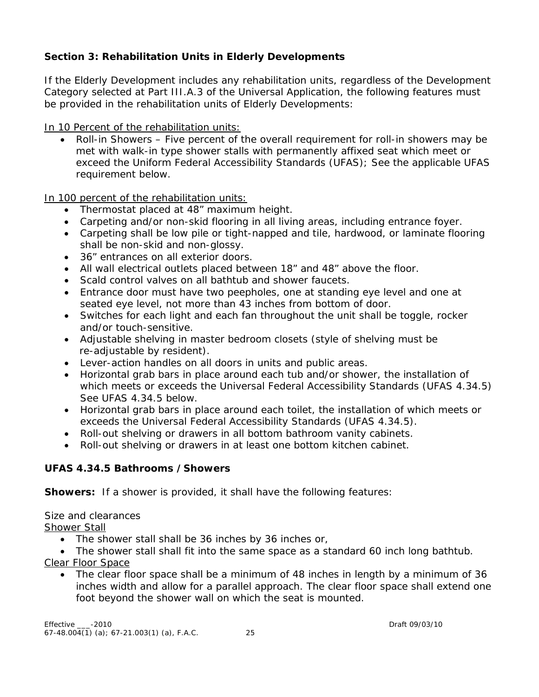# **Section 3: Rehabilitation Units in Elderly Developments**

If the Elderly Development includes any rehabilitation units, regardless of the Development Category selected at Part III.A.3 of the Universal Application, the following features must be provided in the rehabilitation units of Elderly Developments:

In 10 Percent of the rehabilitation units:

• Roll-in Showers – Five percent of the overall requirement for roll-in showers may be met with walk-in type shower stalls with permanently affixed seat which meet or exceed the Uniform Federal Accessibility Standards (UFAS); See the applicable UFAS requirement below.

In 100 percent of the rehabilitation units:

- Thermostat placed at 48" maximum height.
- Carpeting and/or non-skid flooring in all living areas, including entrance foyer.
- Carpeting shall be low pile or tight-napped and tile, hardwood, or laminate flooring shall be non-skid and non-glossy.
- 36" entrances on all exterior doors.
- All wall electrical outlets placed between 18" and 48" above the floor.
- Scald control valves on all bathtub and shower faucets.
- Entrance door must have two peepholes, one at standing eye level and one at seated eye level, not more than 43 inches from bottom of door.
- Switches for each light and each fan throughout the unit shall be toggle, rocker and/or touch-sensitive.
- Adjustable shelving in master bedroom closets (style of shelving must be re-adjustable by resident).
- Lever-action handles on all doors in units and public areas.
- Horizontal grab bars in place around each tub and/or shower, the installation of which meets or exceeds the Universal Federal Accessibility Standards (UFAS 4.34.5) See UFAS 4.34.5 below.
- Horizontal grab bars in place around each toilet, the installation of which meets or exceeds the Universal Federal Accessibility Standards (UFAS 4.34.5).
- Roll-out shelving or drawers in all bottom bathroom vanity cabinets.
- Roll-out shelving or drawers in at least one bottom kitchen cabinet.

# **UFAS 4.34.5 Bathrooms /Showers**

**Showers:** If a shower is provided, it shall have the following features:

Size and clearances

Shower Stall

- The shower stall shall be 36 inches by 36 inches or,
- The shower stall shall fit into the same space as a standard 60 inch long bathtub.
- Clear Floor Space
	- The clear floor space shall be a minimum of 48 inches in length by a minimum of 36 inches width and allow for a parallel approach. The clear floor space shall extend one foot beyond the shower wall on which the seat is mounted.